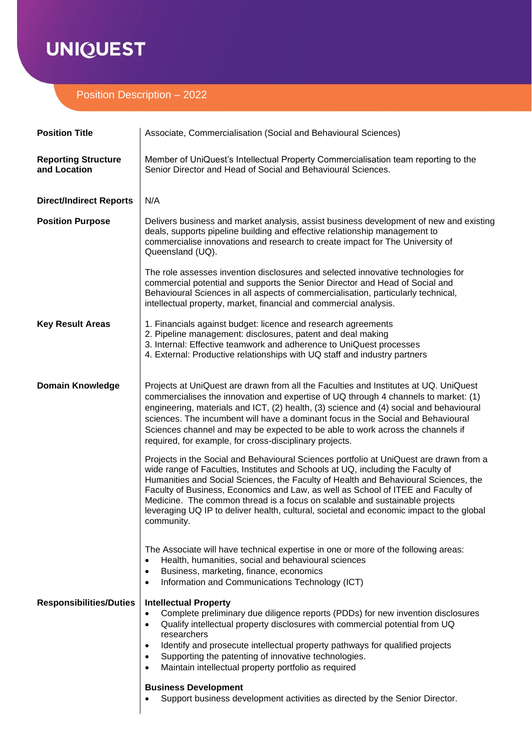# **UNIQUEST**

# Position Description – 2022

| <b>Position Title</b>                      | Associate, Commercialisation (Social and Behavioural Sciences)                                                                                                                                                                                                                                                                                                                                                                                                                                                                                |
|--------------------------------------------|-----------------------------------------------------------------------------------------------------------------------------------------------------------------------------------------------------------------------------------------------------------------------------------------------------------------------------------------------------------------------------------------------------------------------------------------------------------------------------------------------------------------------------------------------|
| <b>Reporting Structure</b><br>and Location | Member of UniQuest's Intellectual Property Commercialisation team reporting to the<br>Senior Director and Head of Social and Behavioural Sciences.                                                                                                                                                                                                                                                                                                                                                                                            |
| <b>Direct/Indirect Reports</b>             | N/A                                                                                                                                                                                                                                                                                                                                                                                                                                                                                                                                           |
| <b>Position Purpose</b>                    | Delivers business and market analysis, assist business development of new and existing<br>deals, supports pipeline building and effective relationship management to<br>commercialise innovations and research to create impact for The University of<br>Queensland (UQ).                                                                                                                                                                                                                                                                     |
|                                            | The role assesses invention disclosures and selected innovative technologies for<br>commercial potential and supports the Senior Director and Head of Social and<br>Behavioural Sciences in all aspects of commercialisation, particularly technical,<br>intellectual property, market, financial and commercial analysis.                                                                                                                                                                                                                    |
| <b>Key Result Areas</b>                    | 1. Financials against budget: licence and research agreements<br>2. Pipeline management: disclosures, patent and deal making<br>3. Internal: Effective teamwork and adherence to UniQuest processes<br>4. External: Productive relationships with UQ staff and industry partners                                                                                                                                                                                                                                                              |
| <b>Domain Knowledge</b>                    | Projects at UniQuest are drawn from all the Faculties and Institutes at UQ. UniQuest<br>commercialises the innovation and expertise of UQ through 4 channels to market: (1)<br>engineering, materials and ICT, (2) health, (3) science and (4) social and behavioural<br>sciences. The incumbent will have a dominant focus in the Social and Behavioural<br>Sciences channel and may be expected to be able to work across the channels if<br>required, for example, for cross-disciplinary projects.                                        |
|                                            | Projects in the Social and Behavioural Sciences portfolio at UniQuest are drawn from a<br>wide range of Faculties, Institutes and Schools at UQ, including the Faculty of<br>Humanities and Social Sciences, the Faculty of Health and Behavioural Sciences, the<br>Faculty of Business, Economics and Law, as well as School of ITEE and Faculty of<br>Medicine. The common thread is a focus on scalable and sustainable projects<br>leveraging UQ IP to deliver health, cultural, societal and economic impact to the global<br>community. |
|                                            | The Associate will have technical expertise in one or more of the following areas:<br>Health, humanities, social and behavioural sciences<br>$\bullet$<br>Business, marketing, finance, economics<br>$\bullet$<br>Information and Communications Technology (ICT)<br>٠                                                                                                                                                                                                                                                                        |
| <b>Responsibilities/Duties</b>             | <b>Intellectual Property</b><br>Complete preliminary due diligence reports (PDDs) for new invention disclosures<br>٠<br>Qualify intellectual property disclosures with commercial potential from UQ<br>٠<br>researchers<br>Identify and prosecute intellectual property pathways for qualified projects<br>٠<br>Supporting the patenting of innovative technologies.<br>٠<br>Maintain intellectual property portfolio as required<br>٠<br><b>Business Development</b>                                                                         |
|                                            | Support business development activities as directed by the Senior Director.                                                                                                                                                                                                                                                                                                                                                                                                                                                                   |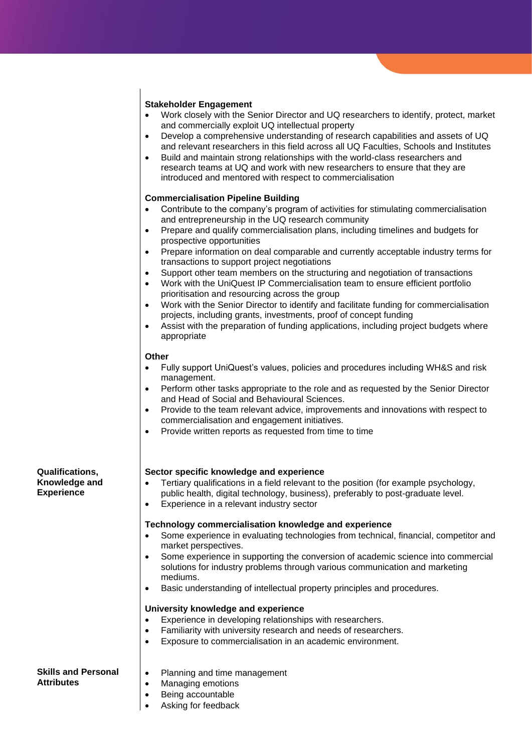## **Stakeholder Engagement**

- Work closely with the Senior Director and UQ researchers to identify, protect, market and commercially exploit UQ intellectual property
- Develop a comprehensive understanding of research capabilities and assets of UQ and relevant researchers in this field across all UQ Faculties, Schools and Institutes
- Build and maintain strong relationships with the world-class researchers and research teams at UQ and work with new researchers to ensure that they are introduced and mentored with respect to commercialisation

### **Commercialisation Pipeline Building**

- Contribute to the company's program of activities for stimulating commercialisation and entrepreneurship in the UQ research community
- Prepare and qualify commercialisation plans, including timelines and budgets for prospective opportunities
- Prepare information on deal comparable and currently acceptable industry terms for transactions to support project negotiations
- Support other team members on the structuring and negotiation of transactions
- Work with the UniQuest IP Commercialisation team to ensure efficient portfolio prioritisation and resourcing across the group
- Work with the Senior Director to identify and facilitate funding for commercialisation projects, including grants, investments, proof of concept funding
- Assist with the preparation of funding applications, including project budgets where appropriate

### **Other**

- Fully support UniQuest's values, policies and procedures including WH&S and risk management.
- Perform other tasks appropriate to the role and as requested by the Senior Director and Head of Social and Behavioural Sciences.
- Provide to the team relevant advice, improvements and innovations with respect to commercialisation and engagement initiatives.
- Provide written reports as requested from time to time

### **Sector specific knowledge and experience**

- Tertiary qualifications in a field relevant to the position (for example psychology, public health, digital technology, business), preferably to post-graduate level.
- Experience in a relevant industry sector

### **Technology commercialisation knowledge and experience**

- Some experience in evaluating technologies from technical, financial, competitor and market perspectives.
- Some experience in supporting the conversion of academic science into commercial solutions for industry problems through various communication and marketing mediums.
- Basic understanding of intellectual property principles and procedures.

#### **University knowledge and experience**

- Experience in developing relationships with researchers.
- Familiarity with university research and needs of researchers.
- Exposure to commercialisation in an academic environment.

#### **Skills and Personal Attributes**

- Planning and time management
- Managing emotions
- Being accountable
- Asking for feedback

#### **Qualifications, Knowledge and Experience**